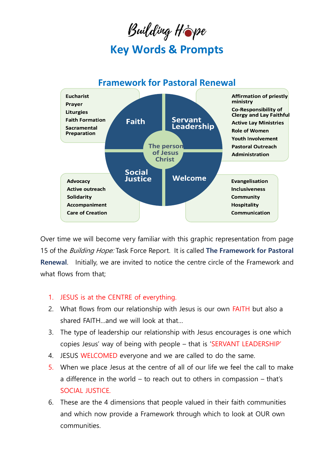## Building Hope **Key Words & Prompts**

## **Framework for Pastoral Renewal**



Over time we will become very familiar with this graphic representation from page 15 of the Building Hope: Task Force Report. It is called **The Framework for Pastoral Renewal**. Initially, we are invited to notice the centre circle of the Framework and what flows from that;

## 1. JESUS is at the CENTRE of everything.

- 2. What flows from our relationship with Jesus is our own FAITH but also a shared FAITH…and we will look at that…
- 3. The type of leadership our relationship with Jesus encourages is one which copies Jesus' way of being with people – that is 'SERVANT LEADERSHIP'
- 4. JESUS WELCOMED everyone and we are called to do the same.
- 5. When we place Jesus at the centre of all of our life we feel the call to make a difference in the world – to reach out to others in compassion – that's SOCIAL JUSTICE.
- 6. These are the 4 dimensions that people valued in their faith communities and which now provide a Framework through which to look at OUR own communities.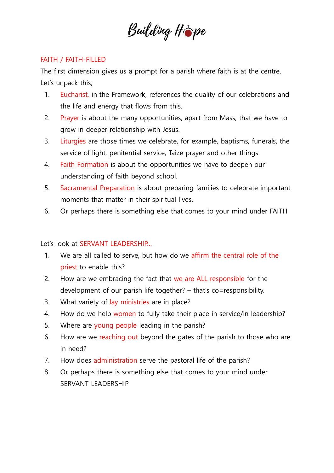

## FAITH / FAITH-FILLED

The first dimension gives us a prompt for a parish where faith is at the centre. Let's unpack this;

- 1. Eucharist, in the Framework, references the quality of our celebrations and the life and energy that flows from this.
- 2. Prayer is about the many opportunities, apart from Mass, that we have to grow in deeper relationship with Jesus.
- 3. Liturgies are those times we celebrate, for example, baptisms, funerals, the service of light, penitential service, Taize prayer and other things.
- 4. Faith Formation is about the opportunities we have to deepen our understanding of faith beyond school.
- 5. Sacramental Preparation is about preparing families to celebrate important moments that matter in their spiritual lives.
- 6. Or perhaps there is something else that comes to your mind under FAITH

Let's look at SERVANT LEADERSHIP…

- 1. We are all called to serve, but how do we affirm the central role of the priest to enable this?
- 2. How are we embracing the fact that we are ALL responsible for the development of our parish life together? – that's co=responsibility.
- 3. What variety of lay ministries are in place?
- 4. How do we help women to fully take their place in service/in leadership?
- 5. Where are young people leading in the parish?
- 6. How are we reaching out beyond the gates of the parish to those who are in need?
- 7. How does administration serve the pastoral life of the parish?
- 8. Or perhaps there is something else that comes to your mind under SERVANT LEADERSHIP